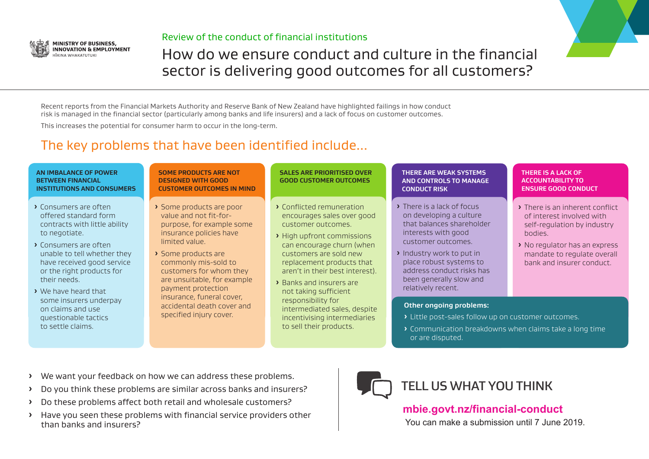- **E** We want your feedback on how we can address these problems.
- **ȓ** Do you think these problems are similar across banks and insurers?
- **ȓ** Do these problems affect both retail and wholesale customers?
- **ȓ** Have you seen these problems with financial service providers other than banks and insurers?
- **ȓ** Consumers are often offered standard form contracts with little ability to negotiate.
- **ȓ** Consumers are often unable to tell whether they have received good service or the right products for their needs.
- **ȓ** We have heard that some insurers underpay on claims and use questionable tactics to settle claims.
- **ȓ** Some products are poor value and not fit-forpurpose, for example some insurance policies have limited value.
- **ȓ** Some products are commonly mis-sold to customers for whom they are unsuitable, for example payment protection insurance, funeral cover, accidental death cover and specified injury cover.

Recent reports from the Financial Markets Authority and Reserve Bank of New Zealand have highlighted failings in how conduct risk is managed in the financial sector (particularly among banks and life insurers) and a lack of focus on customer outcomes.

This increases the potential for consumer harm to occur in the long-term.

- **ȓ** Conflicted remuneration encourages sales over good customer outcomes.
- **ȓ** High upfront commissions can encourage churn (when customers are sold new replacement products that aren't in their best interest).
- **ȓ** Banks and insurers are not taking sufficient responsibility for intermediated sales, despite incentivising intermediaries to sell their products.
- **ȓ** There is a lack of focus on developing a culture that balances shareholder interests with good customer outcomes.
- **ȓ** Industry work to put in place robust systems to address conduct risks has been generally slow and relatively recent.



## Review of the conduct of financial institutions

# How do we ensure conduct and culture in the financial sector is delivering good outcomes for all customers?

# The key problems that have been identified include...

### **Other ongoing problems:**



- **ȓ** Little post-sales follow up on customer outcomes.
- or are disputed.

**ȓ** Communication breakdowns when claims take a long time

### **AN IMBALANCE OF POWER BETWEEN FINANCIAL INSTITUTIONS AND CONSUMERS**

### **SOME PRODUCTS ARE NOT DESIGNED WITH GOOD CUSTOMER OUTCOMES IN MIND**

### **SALES ARE PRIORITISED OVER GOOD CUSTOMER OUTCOMES**

### **THERE ARE WEAK SYSTEMS AND CONTROLS TO MANAGE CONDUCT RISK**



**mbie.govt.nz/financial-conduct** You can make a submission until 7 June 2019.